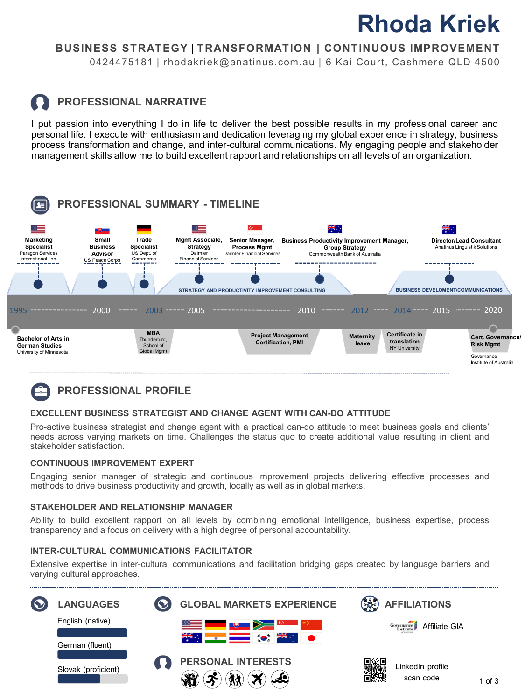# **Rhoda Kriek**

### **BUSINESS STRATEGY | TRANSFORMATION | CONTINUOUS IMPROVEMENT**

0424475181 | rhodakriek@anatinus.com.au | 6 Kai Court, Cashmere QLD 4500

## **PROFESSIONAL NARRATIVE**

I put passion into everything I do in life to deliver the best possible results in my professional career and personal life. I execute with enthusiasm and dedication leveraging my global experience in strategy, business process transformation and change, and inter-cultural communications. My engaging people and stakeholder management skills allow me to build excellent rapport and relationships on all levels of an organization.



## **PROFESSIONAL PROFILE**

#### **EXCELLENT BUSINESS STRATEGIST AND CHANGE AGENT WITH CAN-DO ATTITUDE**

Pro-active business strategist and change agent with a practical can-do attitude to meet business goals and clients' needs across varying markets on time. Challenges the status quo to create additional value resulting in client and stakeholder satisfaction.

#### **CONTINUOUS IMPROVEMENT EXPERT**

Engaging senior manager of strategic and continuous improvement projects delivering effective processes and methods to drive business productivity and growth, locally as well as in global markets.

#### **STAKEHOLDER AND RELATIONSHIP MANAGER**

Ability to build excellent rapport on all levels by combining emotional intelligence, business expertise, process transparency and a focus on delivery with a high degree of personal accountability.

#### **INTER-CULTURAL COMMUNICATIONS FACILITATOR**

Extensive expertise in inter-cultural communications and facilitation bridging gaps created by language barriers and varying cultural approaches.

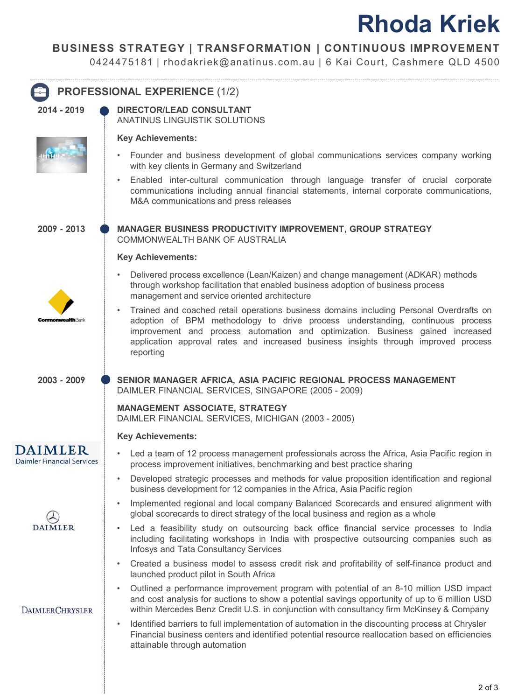# **Rhoda Kriek**

### **BUSINESS STRATEGY | TRANSFORMATION | CONTINUOUS IMPROVEMENT**

0424475181 | rhodakriek@anatinus.com.au | 6 Kai Court, Cashmere QLD 4500